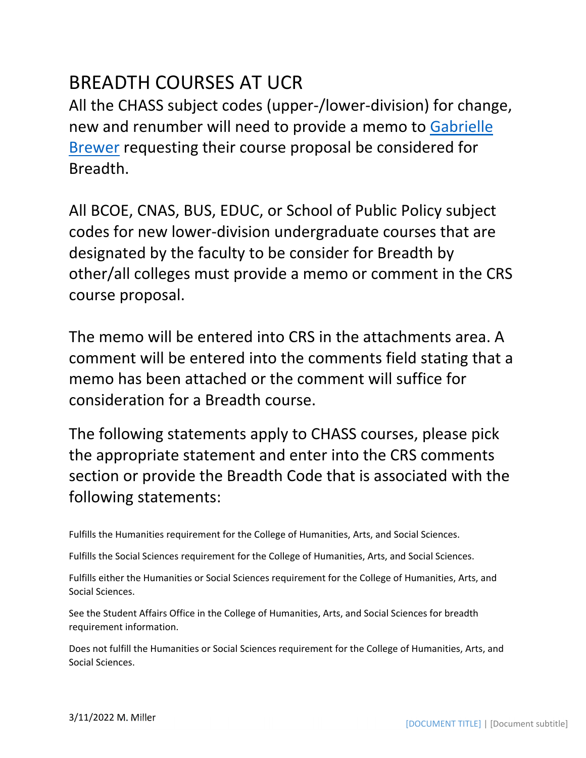## BREADTH COURSES AT UCR

All the CHASS subject codes (upper‐/lower‐division) for change, new and renumber will need to provide a memo to Gabrielle Brewer requesting their course proposal be considered for Breadth.

All BCOE, CNAS, BUS, EDUC, or School of Public Policy subject codes for new lower‐division undergraduate courses that are designated by the faculty to be consider for Breadth by other/all colleges must provide a memo or comment in the CRS course proposal.

The memo will be entered into CRS in the attachments area. A comment will be entered into the comments field stating that a memo has been attached or the comment will suffice for consideration for a Breadth course.

The following statements apply to CHASS courses, please pick the appropriate statement and enter into the CRS comments section or provide the Breadth Code that is associated with the following statements:

Fulfills the Humanities requirement for the College of Humanities, Arts, and Social Sciences.

Fulfills the Social Sciences requirement for the College of Humanities, Arts, and Social Sciences.

Fulfills either the Humanities or Social Sciences requirement for the College of Humanities, Arts, and Social Sciences.

See the Student Affairs Office in the College of Humanities, Arts, and Social Sciences for breadth requirement information.

Does not fulfill the Humanities or Social Sciences requirement for the College of Humanities, Arts, and Social Sciences.